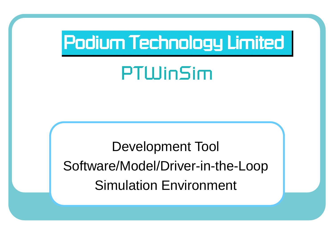# Podium Technology Limited

# *PTWinSim*

Development Tool Software/Model/Driver-in-the-Loop Simulation Environment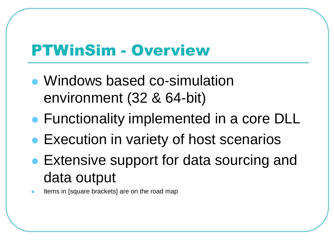#### PTWinSim - Overview

- ⚫ Windows based co-simulation environment (32 & 64-bit)
- Functionality implemented in a core DLL
- Execution in variety of host scenarios
- Extensive support for data sourcing and data output
- ⚫ Items in [square brackets] are on the road map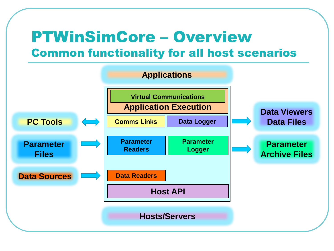#### PTWinSimCore – Overview Common functionality for all host scenarios

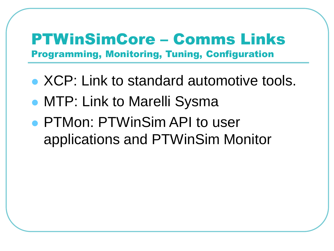#### PTWinSimCore – Comms Links Programming, Monitoring, Tuning, Configuration

- ⚫ XCP: Link to standard automotive tools.
- MTP: Link to Marelli Sysma
- ⚫ PTMon: PTWinSim API to user applications and PTWinSim Monitor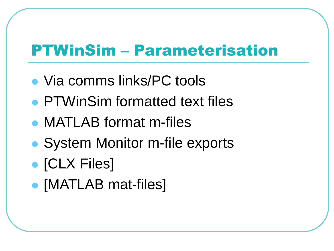### PTWinSim – Parameterisation

- ⚫ Via comms links/PC tools
- ⚫ PTWinSim formatted text files
- ⚫ MATLAB format m-files
- System Monitor m-file exports
- ⚫ [CLX Files]
- ⚫ [MATLAB mat-files]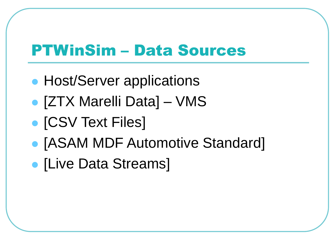### PTWinSim – Data Sources

- Host/Server applications
- ⚫ [ZTX Marelli Data] VMS
- **[CSV Text Files]**
- ⚫ [ASAM MDF Automotive Standard]
- ⚫ [Live Data Streams]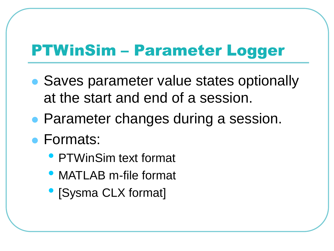### PTWinSim – Parameter Logger

- Saves parameter value states optionally at the start and end of a session.
- Parameter changes during a session.
- ⚫ Formats:
	- PTWinSim text format
	- MATLAB m-file format
	- [Sysma CLX format]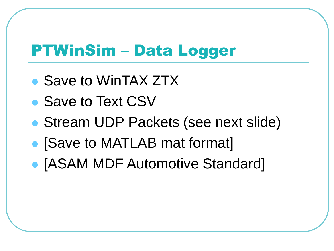### PTWinSim – Data Logger

- Save to WinTAX ZTX
- Save to Text CSV
- Stream UDP Packets (see next slide)
- ⚫ [Save to MATLAB mat format]
- ⚫ [ASAM MDF Automotive Standard]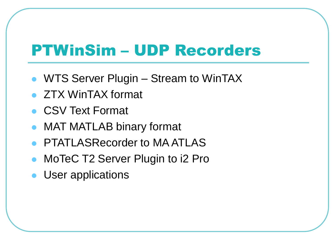### PTWinSim – UDP Recorders

- WTS Server Plugin Stream to WinTAX
- ⚫ ZTX WinTAX format
- CSV Text Format
- ⚫ MAT MATLAB binary format
- PTATLASRecorder to MA ATLAS
- MoTeC T2 Server Plugin to i2 Pro
- User applications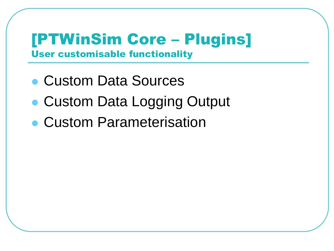#### [PTWinSim Core – Plugins] User customisable functionality

- ⚫ Custom Data Sources
- Custom Data Logging Output
- ⚫ Custom Parameterisation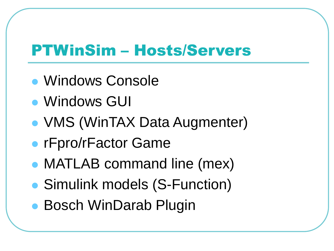### PTWinSim – Hosts/Servers

- ⚫ Windows Console
- ⚫ Windows GUI
- ⚫ VMS (WinTAX Data Augmenter)
- rFpro/rFactor Game
- ⚫ MATLAB command line (mex)
- ⚫ Simulink models (S-Function)
- Bosch WinDarab Plugin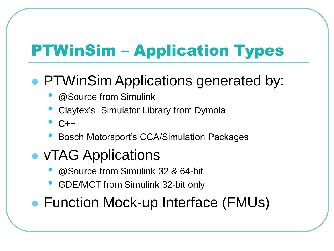## PTWinSim – Application Types

#### ● PTWinSim Applications generated by:

- @Source from Simulink
- Claytex's Simulator Library from Dymola
- $\overline{C}$ ++
- Bosch Motorsport's CCA/Simulation Packages
- ⚫ vTAG Applications
	- @Source from Simulink 32 & 64-bit
	- GDE/MCT from Simulink 32-bit only
- Function Mock-up Interface (FMUs)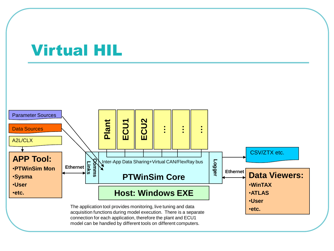#### Virtual HIL

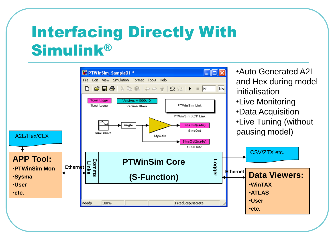## Interfacing Directly With Simulink®

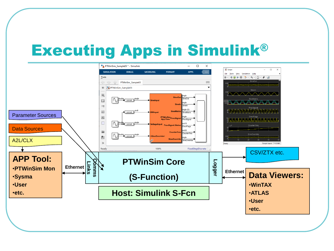### Executing Apps in Simulink®

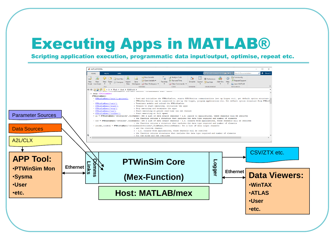### Executing Apps in MATLAB®

Scripting application execution, programmatic data input/output, optimise, repeat etc.

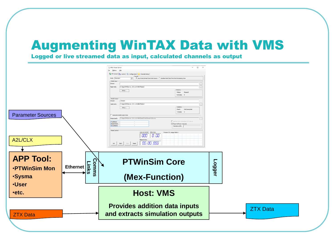#### Augmenting WinTAX Data with VMS

Logged or live streamed data as input, calculated channels as output

| <b>APP Tool:</b><br><b>PTWinSim Core</b><br><b>Comms</b><br>Logger<br><b>Links</b><br>↘<br>Ethernet<br><b>.PTWinSim Mon</b><br>(Mex-Function)<br><b>.Sysma</b><br><b>.User</b><br><b>Host: VMS</b><br>•etc.<br><b>Provides addition data inputs</b><br><b>ZTX Data</b><br>and extracts simulation outputs<br><b>ZTX Data</b> | <b>Parameter Sources</b><br>A2L/CLX | VMS Virtual Server<br>$\Box$<br>$\times$<br>$\hspace{0.1mm}-\hspace{0.1mm}$<br>Ele Qotions Help<br>RT Control   Control   Configuration   Channels Setup  <br><sup>6</sup> Use External Real Time Data Source <sup>6</sup> Simulate Real Time from Post Processing Data<br>Mode: Standard<br>-Model Inp<br>Stream:<br>C:\Apps\WMSServer_2.01.1.0-64bit\Tables\<br>Table Path:<br>Statistics<br>Setup<br>Status: Stopped<br>Rx Bytes: 0<br>-Model Output<br>VStream<br>Stream:<br>C:\Apps\\MSServer_2.01.1.0-64bit\Tables\<br>Table Path:<br><b>Statistics</b><br>Setup<br>Clent:<br>Not Connected<br>Tx Bytes: 0<br>Generate model output data<br>Output path: C:\Apps\\MSServer_2.01.1.0-64bit\Data\Track\Session\VDevice<br>Retrive from connected WTS Server<br>TrackName<br>SessionName<br>Export all input channels<br><b>DeviceName</b><br>Channels suffix:<br>Model Control-<br>Laps converted: Delta time:<br>Process CPU usage history<br>800<br>-0.00<br><b>Elaosed</b> time<br>00:00.000<br>Stop<br>Init<br>Start<br>Reset |  |
|------------------------------------------------------------------------------------------------------------------------------------------------------------------------------------------------------------------------------------------------------------------------------------------------------------------------------|-------------------------------------|---------------------------------------------------------------------------------------------------------------------------------------------------------------------------------------------------------------------------------------------------------------------------------------------------------------------------------------------------------------------------------------------------------------------------------------------------------------------------------------------------------------------------------------------------------------------------------------------------------------------------------------------------------------------------------------------------------------------------------------------------------------------------------------------------------------------------------------------------------------------------------------------------------------------------------------------------------------------------------------------------------------------------------------|--|
|                                                                                                                                                                                                                                                                                                                              |                                     |                                                                                                                                                                                                                                                                                                                                                                                                                                                                                                                                                                                                                                                                                                                                                                                                                                                                                                                                                                                                                                       |  |
|                                                                                                                                                                                                                                                                                                                              |                                     |                                                                                                                                                                                                                                                                                                                                                                                                                                                                                                                                                                                                                                                                                                                                                                                                                                                                                                                                                                                                                                       |  |
|                                                                                                                                                                                                                                                                                                                              |                                     |                                                                                                                                                                                                                                                                                                                                                                                                                                                                                                                                                                                                                                                                                                                                                                                                                                                                                                                                                                                                                                       |  |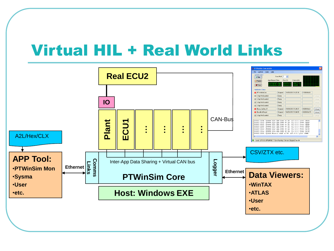#### Virtual HIL + Real World Links

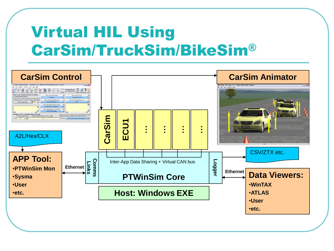## Virtual HIL Using CarSim/TruckSim/BikeSim®

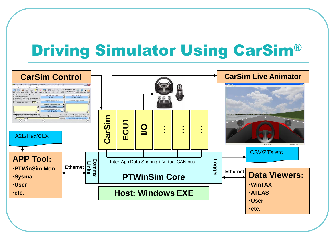### Driving Simulator Using CarSim®

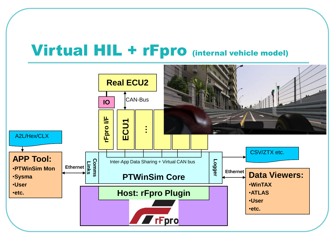#### Virtual HIL + rFpro (internal vehicle model)

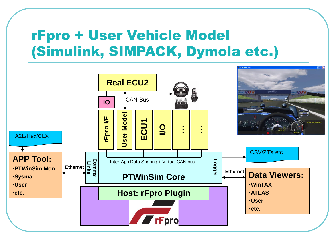#### rFpro + User Vehicle Model (Simulink, SIMPACK, Dymola etc.)

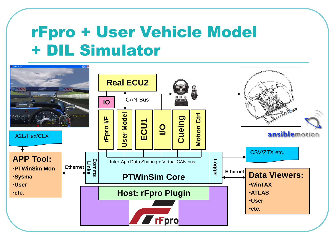### rFpro + User Vehicle Model + DIL Simulator

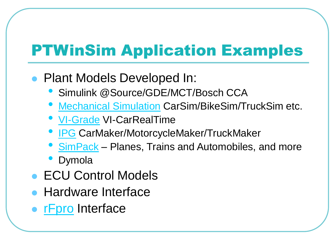## PTWinSim Application Examples

- Plant Models Developed In:
	- Simulink @Source/GDE/MCT/Bosch CCA
	- [Mechanical Simulation](http://www.carsim.com/) CarSim/BikeSim/TruckSim etc.
	- [VI-Grade](http://www.vi-grade.com/index.php?pagid=vehicle_dynamics_carrealtimehttp://www.vi-grade.com/index.php?pagid=vehicle_dynamics_carrealtime) VI-CarRealTime
	- **[IPG](http://www.ipg.de/) CarMaker/MotorcycleMaker/TruckMaker**
	- [SimPack](http://www.simpack.com/) Planes, Trains and Automobiles, and more
	- Dymola
- ECU Control Models
- ⚫ Hardware Interface
- [rFpro](http://www.rfactor-pro.com/Simulink.aspx) Interface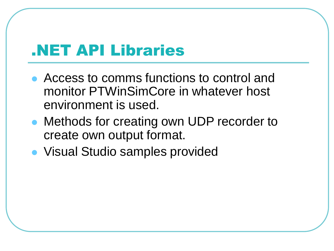#### .NET API Libraries

- Access to comms functions to control and monitor PTWinSimCore in whatever host environment is used.
- Methods for creating own UDP recorder to create own output format.
- ⚫ Visual Studio samples provided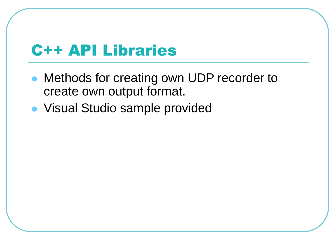#### C++ API Libraries

- Methods for creating own UDP recorder to create own output format.
- ⚫ Visual Studio sample provided